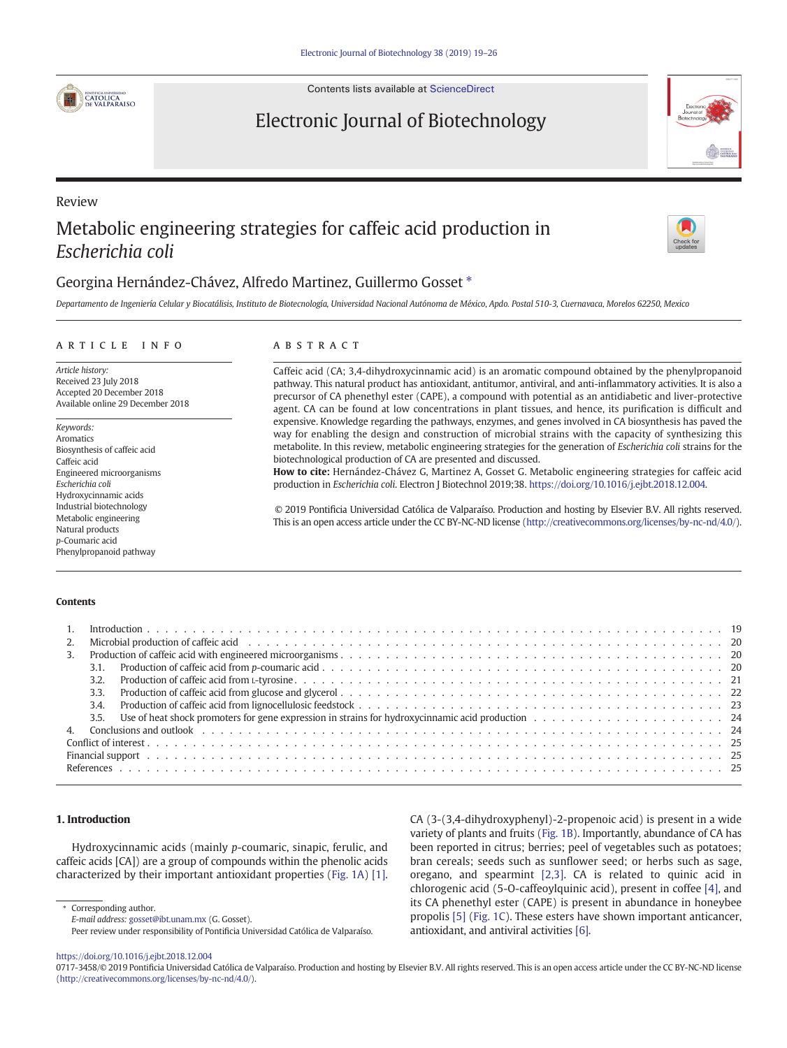

Contents lists available at [ScienceDirect](http://www.sciencedirect.com/science/journal/07173458)

# Electronic Journal of Biotechnology



# Review Metabolic engineering strategies for caffeic acid production in Escherichia coli



## Georgina Hernández-Chávez, Alfredo Martinez, Guillermo Gosset<sup>\*</sup>

Departamento de Ingeniería Celular y Biocatálisis, Instituto de Biotecnología, Universidad Nacional Autónoma de México, Apdo. Postal 510-3, Cuernavaca, Morelos 62250, Mexico

#### article info abstract

Article history: Received 23 July 2018 Accepted 20 December 2018 Available online 29 December 2018

Keywords: Aromatics Biosynthesis of caffeic acid Caffeic acid Engineered microorganisms Escherichia coli Hydroxycinnamic acids Industrial biotechnology Metabolic engineering Natural products p-Coumaric acid Phenylpropanoid pathway

Caffeic acid (CA; 3,4-dihydroxycinnamic acid) is an aromatic compound obtained by the phenylpropanoid pathway. This natural product has antioxidant, antitumor, antiviral, and anti-inflammatory activities. It is also a precursor of CA phenethyl ester (CAPE), a compound with potential as an antidiabetic and liver-protective agent. CA can be found at low concentrations in plant tissues, and hence, its purification is difficult and expensive. Knowledge regarding the pathways, enzymes, and genes involved in CA biosynthesis has paved the way for enabling the design and construction of microbial strains with the capacity of synthesizing this metabolite. In this review, metabolic engineering strategies for the generation of Escherichia coli strains for the biotechnological production of CA are presented and discussed.

How to cite: Hernández-Chávez G, Martinez A, Gosset G. Metabolic engineering strategies for caffeic acid production in Escherichia coli. Electron J Biotechnol 2019;38. [https://doi.org/10.1016/j.ejbt.2018.12.004.](https://doi.org/10.1016/j.ejbt.2018.12.004)

© 2019 Pontificia Universidad Católica de Valparaíso. Production and hosting by Elsevier B.V. All rights reserved. This is an open access article under the CC BY-NC-ND license [\(http://creativecommons.org/licenses/by-nc-nd/4.0/\)](http://creativecommons.org/licenses/by-nc-nd/4.0/).

#### Contents

|  | 2. Microbial production of caffeic acid education of the content of the content of the content of the content of the content of the content of the content of the content of the content of the content of the content of the |  |  |  |  |  |  |
|--|-------------------------------------------------------------------------------------------------------------------------------------------------------------------------------------------------------------------------------|--|--|--|--|--|--|
|  |                                                                                                                                                                                                                               |  |  |  |  |  |  |
|  |                                                                                                                                                                                                                               |  |  |  |  |  |  |
|  |                                                                                                                                                                                                                               |  |  |  |  |  |  |
|  |                                                                                                                                                                                                                               |  |  |  |  |  |  |
|  |                                                                                                                                                                                                                               |  |  |  |  |  |  |
|  |                                                                                                                                                                                                                               |  |  |  |  |  |  |
|  |                                                                                                                                                                                                                               |  |  |  |  |  |  |
|  |                                                                                                                                                                                                                               |  |  |  |  |  |  |
|  |                                                                                                                                                                                                                               |  |  |  |  |  |  |
|  |                                                                                                                                                                                                                               |  |  |  |  |  |  |
|  |                                                                                                                                                                                                                               |  |  |  |  |  |  |

### 1. Introduction

Hydroxycinnamic acids (mainly p-coumaric, sinapic, ferulic, and caffeic acids [CA]) are a group of compounds within the phenolic acids characterized by their important antioxidant properties [\(Fig. 1A\)](#page-1-0) [\[1\].](#page-6-0)

⁎ Corresponding author.

E-mail address: <gosset@ibt.unam.mx> (G. Gosset). Peer review under responsibility of Pontificia Universidad Católica de Valparaíso. CA (3-(3,4-dihydroxyphenyl)-2-propenoic acid) is present in a wide variety of plants and fruits [\(Fig. 1B\)](#page-1-0). Importantly, abundance of CA has been reported in citrus; berries; peel of vegetables such as potatoes; bran cereals; seeds such as sunflower seed; or herbs such as sage, oregano, and spearmint [\[2,3\].](#page-6-0) CA is related to quinic acid in chlorogenic acid (5-O-caffeoylquinic acid), present in coffee [\[4\],](#page-6-0) and its CA phenethyl ester (CAPE) is present in abundance in honeybee propolis [\[5\]](#page-6-0) [\(Fig. 1C](#page-1-0)). These esters have shown important anticancer, antioxidant, and antiviral activities [\[6\]](#page-6-0).

<https://doi.org/10.1016/j.ejbt.2018.12.004>

<sup>0717-3458/© 2019</sup> Pontificia Universidad Católica de Valparaíso. Production and hosting by Elsevier B.V. All rights reserved. This is an open access article under the CC BY-NC-ND license [\(http://creativecommons.org/licenses/by-nc-nd/4.0/\)](http://creativecommons.org/licenses/by-nc-nd/4.0/).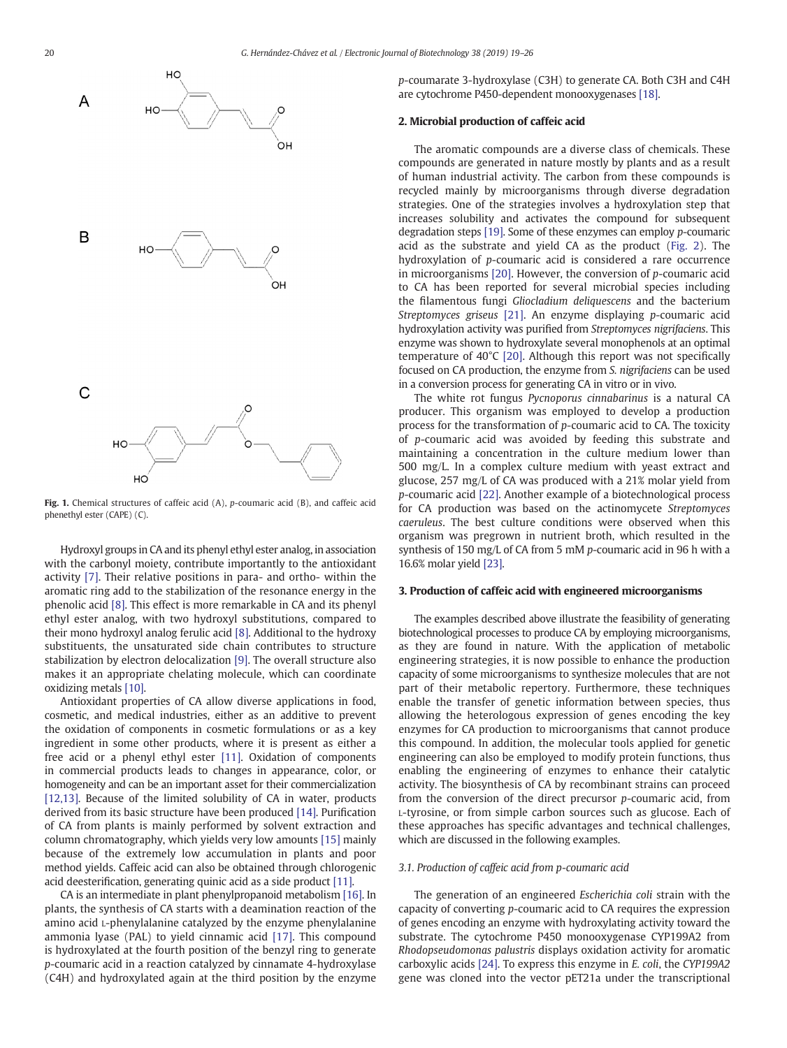<span id="page-1-0"></span>

Fig. 1. Chemical structures of caffeic acid (A), p-coumaric acid (B), and caffeic acid phenethyl ester (CAPE) (C).

Hydroxyl groups in CA and its phenyl ethyl ester analog, in association with the carbonyl moiety, contribute importantly to the antioxidant activity [\[7\]](#page-6-0). Their relative positions in para- and ortho- within the aromatic ring add to the stabilization of the resonance energy in the phenolic acid [\[8\].](#page-6-0) This effect is more remarkable in CA and its phenyl ethyl ester analog, with two hydroxyl substitutions, compared to their mono hydroxyl analog ferulic acid [\[8\]](#page-6-0). Additional to the hydroxy substituents, the unsaturated side chain contributes to structure stabilization by electron delocalization [\[9\].](#page-6-0) The overall structure also makes it an appropriate chelating molecule, which can coordinate oxidizing metals [\[10\].](#page-6-0)

Antioxidant properties of CA allow diverse applications in food, cosmetic, and medical industries, either as an additive to prevent the oxidation of components in cosmetic formulations or as a key ingredient in some other products, where it is present as either a free acid or a phenyl ethyl ester [\[11\]](#page-6-0). Oxidation of components in commercial products leads to changes in appearance, color, or homogeneity and can be an important asset for their commercialization [\[12,13\]](#page-6-0). Because of the limited solubility of CA in water, products derived from its basic structure have been produced [\[14\]](#page-6-0). Purification of CA from plants is mainly performed by solvent extraction and column chromatography, which yields very low amounts [\[15\]](#page-6-0) mainly because of the extremely low accumulation in plants and poor method yields. Caffeic acid can also be obtained through chlorogenic acid deesterification, generating quinic acid as a side product [\[11\].](#page-6-0)

CA is an intermediate in plant phenylpropanoid metabolism [\[16\].](#page-6-0) In plants, the synthesis of CA starts with a deamination reaction of the amino acid L-phenylalanine catalyzed by the enzyme phenylalanine ammonia lyase (PAL) to yield cinnamic acid [\[17\]](#page-6-0). This compound is hydroxylated at the fourth position of the benzyl ring to generate p-coumaric acid in a reaction catalyzed by cinnamate 4-hydroxylase (C4H) and hydroxylated again at the third position by the enzyme p-coumarate 3-hydroxylase (C3H) to generate CA. Both C3H and C4H are cytochrome P450-dependent monooxygenases [\[18\]](#page-6-0).

#### 2. Microbial production of caffeic acid

The aromatic compounds are a diverse class of chemicals. These compounds are generated in nature mostly by plants and as a result of human industrial activity. The carbon from these compounds is recycled mainly by microorganisms through diverse degradation strategies. One of the strategies involves a hydroxylation step that increases solubility and activates the compound for subsequent degradation steps [\[19\].](#page-6-0) Some of these enzymes can employ p-coumaric acid as the substrate and yield CA as the product ([Fig. 2\)](#page-2-0). The hydroxylation of p-coumaric acid is considered a rare occurrence in microorganisms [\[20\].](#page-6-0) However, the conversion of p-coumaric acid to CA has been reported for several microbial species including the filamentous fungi Gliocladium deliquescens and the bacterium Streptomyces griseus [\[21\]](#page-6-0). An enzyme displaying p-coumaric acid hydroxylation activity was purified from Streptomyces nigrifaciens. This enzyme was shown to hydroxylate several monophenols at an optimal temperature of 40°C [\[20\].](#page-6-0) Although this report was not specifically focused on CA production, the enzyme from S. nigrifaciens can be used in a conversion process for generating CA in vitro or in vivo.

The white rot fungus Pycnoporus cinnabarinus is a natural CA producer. This organism was employed to develop a production process for the transformation of p-coumaric acid to CA. The toxicity of p-coumaric acid was avoided by feeding this substrate and maintaining a concentration in the culture medium lower than 500 mg/L. In a complex culture medium with yeast extract and glucose, 257 mg/L of CA was produced with a 21% molar yield from p-coumaric acid [\[22\]](#page-6-0). Another example of a biotechnological process for CA production was based on the actinomycete Streptomyces caeruleus. The best culture conditions were observed when this organism was pregrown in nutrient broth, which resulted in the synthesis of 150 mg/L of CA from 5 mM p-coumaric acid in 96 h with a 16.6% molar yield [\[23\]](#page-6-0).

#### 3. Production of caffeic acid with engineered microorganisms

The examples described above illustrate the feasibility of generating biotechnological processes to produce CA by employing microorganisms, as they are found in nature. With the application of metabolic engineering strategies, it is now possible to enhance the production capacity of some microorganisms to synthesize molecules that are not part of their metabolic repertory. Furthermore, these techniques enable the transfer of genetic information between species, thus allowing the heterologous expression of genes encoding the key enzymes for CA production to microorganisms that cannot produce this compound. In addition, the molecular tools applied for genetic engineering can also be employed to modify protein functions, thus enabling the engineering of enzymes to enhance their catalytic activity. The biosynthesis of CA by recombinant strains can proceed from the conversion of the direct precursor p-coumaric acid, from L-tyrosine, or from simple carbon sources such as glucose. Each of these approaches has specific advantages and technical challenges, which are discussed in the following examples.

#### 3.1. Production of caffeic acid from p-coumaric acid

The generation of an engineered Escherichia coli strain with the capacity of converting p-coumaric acid to CA requires the expression of genes encoding an enzyme with hydroxylating activity toward the substrate. The cytochrome P450 monooxygenase CYP199A2 from Rhodopseudomonas palustris displays oxidation activity for aromatic carboxylic acids [\[24\].](#page-6-0) To express this enzyme in E. coli, the CYP199A2 gene was cloned into the vector pET21a under the transcriptional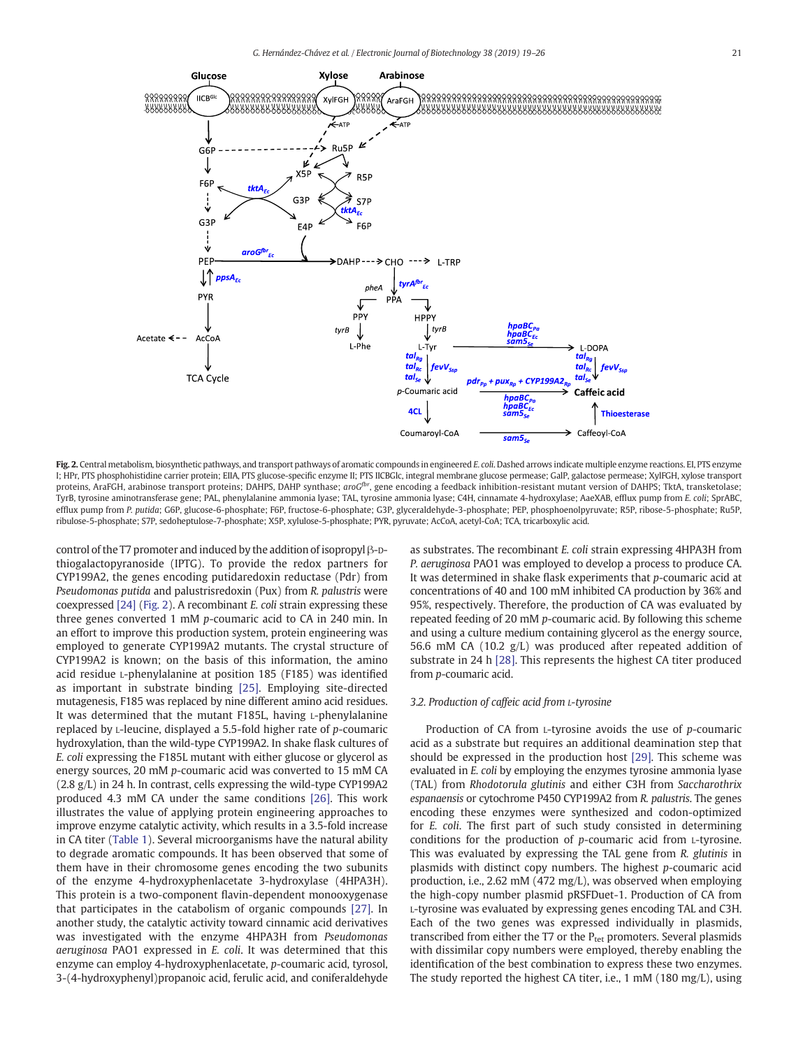<span id="page-2-0"></span>

Fig. 2. Central metabolism, biosynthetic pathways, and transport pathways of aromatic compounds in engineered E. coli. Dashed arrows indicate multiple enzyme reactions. EI, PTS enzyme I; HPr, PTS phosphohistidine carrier protein; EIIA, PTS glucose-specific enzyme II; PTS IICBGlc, integral membrane glucose permease; GalP, galactose permease; XylFGH, xylose transport proteins, AraFGH, arabinose transport proteins; DAHPS, DAHP synthase; aroG<sup>pr</sup>, gene encoding a feedback inhibition-resistant mutant version of DAHPS; TktA, transketolase; TyrB, tyrosine aminotransferase gene; PAL, phenylalanine ammonia lyase; TAL, tyrosine ammonia lyase; C4H, cinnamate 4-hydroxylase; AaeXAB, efflux pump from E. coli; SprABC, efflux pump from P. putida; G6P, glucose-6-phosphate; F6P, fructose-6-phosphate; G3P, glyceraldehyde-3-phosphate; PEP, phosphoenolpyruvate; R5P, ribose-5-phosphate; Ru5P, ribulose-5-phosphate; S7P, sedoheptulose-7-phosphate; X5P, xylulose-5-phosphate; PYR, pyruvate; AcCoA, acetyl-CoA; TCA, tricarboxylic acid.

control of the T7 promoter and induced by the addition of isopropyl β-Dthiogalactopyranoside (IPTG). To provide the redox partners for CYP199A2, the genes encoding putidaredoxin reductase (Pdr) from Pseudomonas putida and palustrisredoxin (Pux) from R. palustris were coexpressed [\[24\]](#page-6-0) (Fig. 2). A recombinant E. coli strain expressing these three genes converted 1 mM p-coumaric acid to CA in 240 min. In an effort to improve this production system, protein engineering was employed to generate CYP199A2 mutants. The crystal structure of CYP199A2 is known; on the basis of this information, the amino acid residue L-phenylalanine at position 185 (F185) was identified as important in substrate binding [\[25\].](#page-6-0) Employing site-directed mutagenesis, F185 was replaced by nine different amino acid residues. It was determined that the mutant F185L, having L-phenylalanine replaced by L-leucine, displayed a 5.5-fold higher rate of p-coumaric hydroxylation, than the wild-type CYP199A2. In shake flask cultures of E. coli expressing the F185L mutant with either glucose or glycerol as energy sources, 20 mM p-coumaric acid was converted to 15 mM CA (2.8 g/L) in 24 h. In contrast, cells expressing the wild-type CYP199A2 produced 4.3 mM CA under the same conditions [\[26\].](#page-6-0) This work illustrates the value of applying protein engineering approaches to improve enzyme catalytic activity, which results in a 3.5-fold increase in CA titer [\(Table 1\)](#page-3-0). Several microorganisms have the natural ability to degrade aromatic compounds. It has been observed that some of them have in their chromosome genes encoding the two subunits of the enzyme 4-hydroxyphenlacetate 3-hydroxylase (4HPA3H). This protein is a two-component flavin-dependent monooxygenase that participates in the catabolism of organic compounds [\[27\].](#page-6-0) In another study, the catalytic activity toward cinnamic acid derivatives was investigated with the enzyme 4HPA3H from Pseudomonas aeruginosa PAO1 expressed in E. coli. It was determined that this enzyme can employ 4-hydroxyphenlacetate, p-coumaric acid, tyrosol, 3-(4-hydroxyphenyl)propanoic acid, ferulic acid, and coniferaldehyde

as substrates. The recombinant E. coli strain expressing 4HPA3H from P. aeruginosa PAO1 was employed to develop a process to produce CA. It was determined in shake flask experiments that p-coumaric acid at concentrations of 40 and 100 mM inhibited CA production by 36% and 95%, respectively. Therefore, the production of CA was evaluated by repeated feeding of 20 mM p-coumaric acid. By following this scheme and using a culture medium containing glycerol as the energy source, 56.6 mM CA (10.2 g/L) was produced after repeated addition of substrate in 24 h [\[28\].](#page-6-0) This represents the highest CA titer produced from p-coumaric acid.

#### 3.2. Production of caffeic acid from L-tyrosine

Production of CA from L-tyrosine avoids the use of p-coumaric acid as a substrate but requires an additional deamination step that should be expressed in the production host [\[29\]](#page-6-0). This scheme was evaluated in E. coli by employing the enzymes tyrosine ammonia lyase (TAL) from Rhodotorula glutinis and either C3H from Saccharothrix espanaensis or cytochrome P450 CYP199A2 from R. palustris. The genes encoding these enzymes were synthesized and codon-optimized for E. coli. The first part of such study consisted in determining conditions for the production of p-coumaric acid from L-tyrosine. This was evaluated by expressing the TAL gene from R. glutinis in plasmids with distinct copy numbers. The highest p-coumaric acid production, i.e., 2.62 mM (472 mg/L), was observed when employing the high-copy number plasmid pRSFDuet-1. Production of CA from L-tyrosine was evaluated by expressing genes encoding TAL and C3H. Each of the two genes was expressed individually in plasmids, transcribed from either the T7 or the  $P_{tet}$  promoters. Several plasmids with dissimilar copy numbers were employed, thereby enabling the identification of the best combination to express these two enzymes. The study reported the highest CA titer, i.e., 1 mM (180 mg/L), using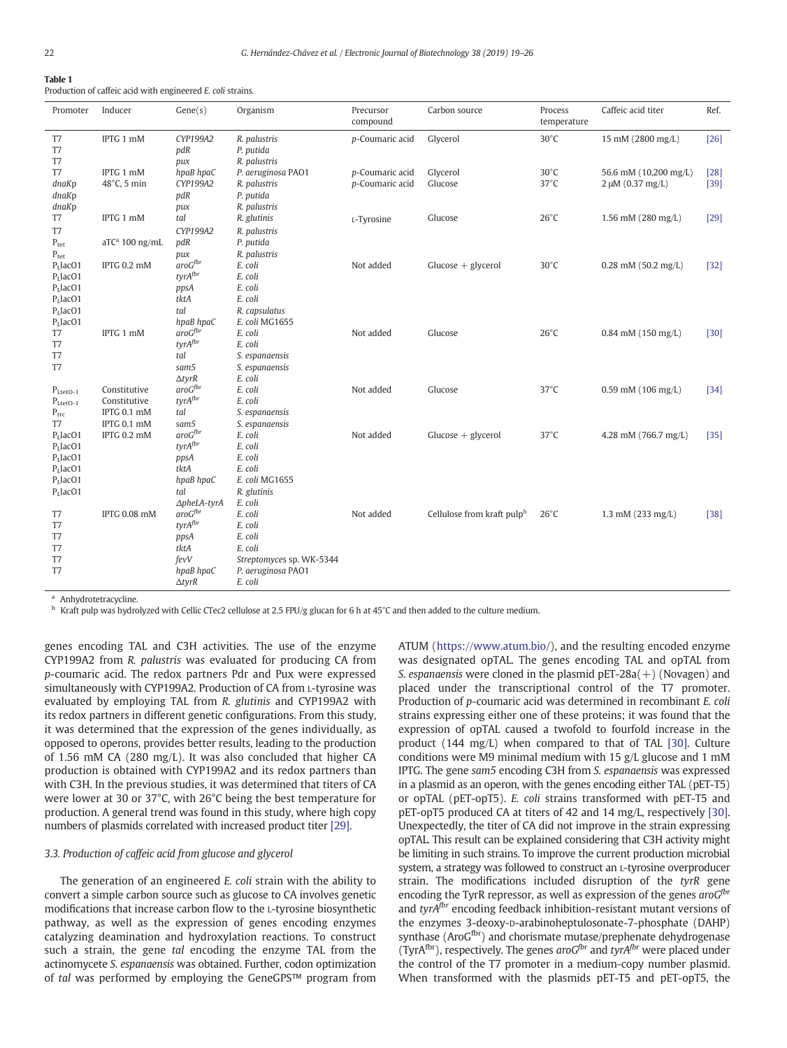### <span id="page-3-0"></span>Table 1

Production of caffeic acid with engineered E. coli strains.

| Promoter            | Inducer                    | Gene(s)                | Organism                                  | Precursor<br>compound | Carbon source              | Process<br>temperature | Caffeic acid titer           | Ref.   |
|---------------------|----------------------------|------------------------|-------------------------------------------|-----------------------|----------------------------|------------------------|------------------------------|--------|
| T7<br>T7<br>T7      | IPTG 1 mM                  | CYP199A2<br>pdR<br>pux | R. palustris<br>P. putida<br>R. palustris | p-Coumaric acid       | Glycerol                   | $30^{\circ}$ C         | 15 mM (2800 mg/L)            | $[26]$ |
| T7                  | IPTG 1 mM                  | hpaB hpaC              | P. aeruginosa PAO1                        | p-Coumaric acid       | Glycerol                   | $30^{\circ}$ C         | 56.6 mM (10,200 mg/L)        | $[28]$ |
| dnaKp               | 48°C, 5 min                | CYP199A2               | R. palustris                              | p-Coumaric acid       | Glucose                    | $37^{\circ}$ C         | $2 \mu M (0.37 mg/L)$        | $[39]$ |
| dnaKp               |                            | pdR                    | P. putida                                 |                       |                            |                        |                              |        |
| dnaKp               |                            | pux                    | R. palustris                              |                       |                            |                        |                              |        |
| T7                  | IPTG 1 mM                  | tal                    | R. glutinis                               | L-Tyrosine            | Glucose                    | $26^{\circ}$ C         | 1.56 mM $(280 \text{ mg/L})$ | $[29]$ |
| T7                  |                            | CYP199A2               | R. palustris                              |                       |                            |                        |                              |        |
| $P_{\text{tet}}$    | $\mathrm{aTC}^a$ 100 ng/mL | pdR                    | P. putida                                 |                       |                            |                        |                              |        |
| $P_{\text{tet}}$    |                            | pux                    | R. palustris                              |                       |                            |                        |                              |        |
| $PI$ lacO1          | IPTG 0.2 mM                | $arcG^{br}$            | E. coli                                   | Not added             | $Glucose + glycerol$       | $30^{\circ}$ C         | $0.28$ mM (50.2 mg/L)        | $[32]$ |
| $PI$ lacO1          |                            | tyrAfbr                | E. coli                                   |                       |                            |                        |                              |        |
| $PI$ lacO1          |                            | ppsA                   | E. coli                                   |                       |                            |                        |                              |        |
| $PI$ lacO1          |                            | tktA                   | E. coli                                   |                       |                            |                        |                              |        |
| $PI$ lacO1          |                            | tal                    | R. capsulatus                             |                       |                            |                        |                              |        |
| PLlacO1             |                            | hpaB hpaC              | E. coli MG1655                            |                       |                            |                        |                              |        |
| T7                  | IPTG 1 mM                  | $arcG^{fbr}$           | E. coli                                   | Not added             | Glucose                    | $26^{\circ}$ C         | $0.84$ mM (150 mg/L)         | $[30]$ |
| T7<br>T7            |                            | tyrAfbr                | E. coli                                   |                       |                            |                        |                              |        |
| T7                  |                            | tal<br>sam5            | S. espanaensis<br>S. espanaensis          |                       |                            |                        |                              |        |
|                     |                            | $\triangle tvrR$       | E. coli                                   |                       |                            |                        |                              |        |
| $P_{\text{LetO-1}}$ | Constitutive               | $arcG^{fbr}$           | E. coli                                   | Not added             | Glucose                    | $37^{\circ}$ C         | $0.59$ mM (106 mg/L)         | $[34]$ |
| $P_{\text{LetO-1}}$ | Constitutive               | tyrA <sup>fbr</sup>    | E. coli                                   |                       |                            |                        |                              |        |
| $P_{\text{trc}}$    | IPTG 0.1 mM                | tal                    | S. espanaensis                            |                       |                            |                        |                              |        |
| T <sub>7</sub>      | IPTG 0.1 mM                | sam <sub>5</sub>       | S. espanaensis                            |                       |                            |                        |                              |        |
| $PI$ lacO1          | IPTG 0.2 mM                | $arcG^{br}$            | E. coli                                   | Not added             | $Glucose + glycerol$       | $37^{\circ}$ C         | 4.28 mM (766.7 mg/L)         | $[35]$ |
| $PL$ lacO1          |                            | tyrAfbr                | E. coli                                   |                       |                            |                        |                              |        |
| $PI$ lacO1          |                            | ppsA                   | E. coli                                   |                       |                            |                        |                              |        |
| $PI$ lacO1          |                            | tktA                   | E. coli                                   |                       |                            |                        |                              |        |
| $PI$ lacO1          |                            | hpaB hpaC              | E. coli MG1655                            |                       |                            |                        |                              |        |
| $PI$ lacO1          |                            | tal                    | R. glutinis                               |                       |                            |                        |                              |        |
|                     |                            | $\Delta$ pheLA-tyrA    | E. coli                                   |                       |                            |                        |                              |        |
| T7                  | <b>IPTG 0.08 mM</b>        | $arcG^{fbr}$           | E. coli                                   | Not added             | Cellulose from kraft pulpb | $26^{\circ}$ C         | 1.3 mM $(233 \text{ mg/L})$  | $[38]$ |
| T7                  |                            | tyrA <sup>fbr</sup>    | E. coli                                   |                       |                            |                        |                              |        |
| T7                  |                            | ppsA                   | E. coli                                   |                       |                            |                        |                              |        |
| T7                  |                            | tktA                   | E. coli                                   |                       |                            |                        |                              |        |
| T7                  |                            | fevV                   | Streptomyces sp. WK-5344                  |                       |                            |                        |                              |        |
| T7                  |                            | hpaB hpaC              | P. aeruginosa PAO1                        |                       |                            |                        |                              |        |
|                     |                            | $\triangle$ tyr $R$    | E. coli                                   |                       |                            |                        |                              |        |

Anhydrotetracycline.

<sup>b</sup> Kraft pulp was hydrolyzed with Cellic CTec2 cellulose at 2.5 FPU/g glucan for 6 h at 45°C and then added to the culture medium.

genes encoding TAL and C3H activities. The use of the enzyme CYP199A2 from R. palustris was evaluated for producing CA from p-coumaric acid. The redox partners Pdr and Pux were expressed simultaneously with CYP199A2. Production of CA from L-tyrosine was evaluated by employing TAL from R. glutinis and CYP199A2 with its redox partners in different genetic configurations. From this study, it was determined that the expression of the genes individually, as opposed to operons, provides better results, leading to the production of 1.56 mM CA (280 mg/L). It was also concluded that higher CA production is obtained with CYP199A2 and its redox partners than with C3H. In the previous studies, it was determined that titers of CA were lower at 30 or 37°C, with 26°C being the best temperature for production. A general trend was found in this study, where high copy numbers of plasmids correlated with increased product titer [\[29\].](#page-6-0)

#### 3.3. Production of caffeic acid from glucose and glycerol

The generation of an engineered E. coli strain with the ability to convert a simple carbon source such as glucose to CA involves genetic modifications that increase carbon flow to the L-tyrosine biosynthetic pathway, as well as the expression of genes encoding enzymes catalyzing deamination and hydroxylation reactions. To construct such a strain, the gene tal encoding the enzyme TAL from the actinomycete S. espanaensis was obtained. Further, codon optimization of tal was performed by employing the GeneGPS™ program from ATUM (<https://www.atum.bio>/), and the resulting encoded enzyme was designated opTAL. The genes encoding TAL and opTAL from S. espanaensis were cloned in the plasmid  $pET-28a(+)$  (Novagen) and placed under the transcriptional control of the T7 promoter. Production of p-coumaric acid was determined in recombinant E. coli strains expressing either one of these proteins; it was found that the expression of opTAL caused a twofold to fourfold increase in the product (144 mg/L) when compared to that of TAL [\[30\]](#page-6-0). Culture conditions were M9 minimal medium with 15 g/L glucose and 1 mM IPTG. The gene sam5 encoding C3H from S. espanaensis was expressed in a plasmid as an operon, with the genes encoding either TAL (pET-T5) or opTAL (pET-opT5). E. coli strains transformed with pET-T5 and pET-opT5 produced CA at titers of 42 and 14 mg/L, respectively [\[30\].](#page-6-0) Unexpectedly, the titer of CA did not improve in the strain expressing opTAL. This result can be explained considering that C3H activity might be limiting in such strains. To improve the current production microbial system, a strategy was followed to construct an L-tyrosine overproducer strain. The modifications included disruption of the tyrR gene encoding the TyrR repressor, as well as expression of the genes  $a\alpha G^{b\alpha}$ and tyr $A^{fbr}$  encoding feedback inhibition-resistant mutant versions of the enzymes 3-deoxy-D-arabinoheptulosonate-7-phosphate (DAHP) synthase (AroGfbr) and chorismate mutase/prephenate dehydrogenase (TyrA<sup>fbr</sup>), respectively. The genes aro $G^{b}$ r and tyrA<sup>fbr</sup> were placed under the control of the T7 promoter in a medium-copy number plasmid. When transformed with the plasmids pET-T5 and pET-opT5, the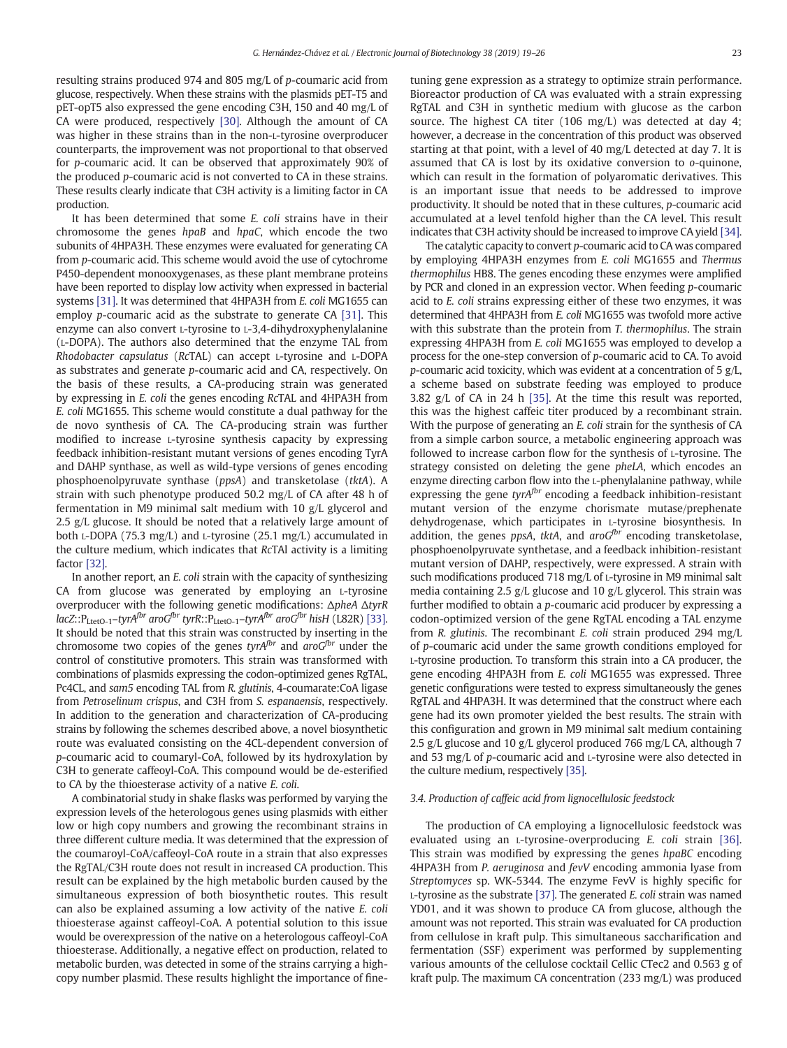resulting strains produced 974 and 805 mg/L of p-coumaric acid from glucose, respectively. When these strains with the plasmids pET-T5 and pET-opT5 also expressed the gene encoding C3H, 150 and 40 mg/L of CA were produced, respectively [\[30\]](#page-6-0). Although the amount of CA was higher in these strains than in the non-L-tyrosine overproducer counterparts, the improvement was not proportional to that observed for p-coumaric acid. It can be observed that approximately 90% of the produced p-coumaric acid is not converted to CA in these strains. These results clearly indicate that C3H activity is a limiting factor in CA production.

It has been determined that some E. coli strains have in their chromosome the genes hpaB and hpaC, which encode the two subunits of 4HPA3H. These enzymes were evaluated for generating CA from p-coumaric acid. This scheme would avoid the use of cytochrome P450-dependent monooxygenases, as these plant membrane proteins have been reported to display low activity when expressed in bacterial systems [\[31\]](#page-6-0). It was determined that 4HPA3H from E. coli MG1655 can employ p-coumaric acid as the substrate to generate CA [\[31\]](#page-6-0). This enzyme can also convert L-tyrosine to L-3,4-dihydroxyphenylalanine (L-DOPA). The authors also determined that the enzyme TAL from Rhodobacter capsulatus (RcTAL) can accept L-tyrosine and L-DOPA as substrates and generate p-coumaric acid and CA, respectively. On the basis of these results, a CA-producing strain was generated by expressing in E. coli the genes encoding RcTAL and 4HPA3H from E. coli MG1655. This scheme would constitute a dual pathway for the de novo synthesis of CA. The CA-producing strain was further modified to increase L-tyrosine synthesis capacity by expressing feedback inhibition-resistant mutant versions of genes encoding TyrA and DAHP synthase, as well as wild-type versions of genes encoding phosphoenolpyruvate synthase (ppsA) and transketolase (tktA). A strain with such phenotype produced 50.2 mg/L of CA after 48 h of fermentation in M9 minimal salt medium with 10 g/L glycerol and 2.5 g/L glucose. It should be noted that a relatively large amount of both L-DOPA (75.3 mg/L) and L-tyrosine (25.1 mg/L) accumulated in the culture medium, which indicates that RcTAl activity is a limiting factor [\[32\]](#page-6-0).

In another report, an E. coli strain with the capacity of synthesizing CA from glucose was generated by employing an L-tyrosine overproducer with the following genetic modifications: ΔpheA ΔtyrR  $lacZ::P_{\text{LetO-1}}-tyrA^{fbr}$  aro $G^{fbr}$  tyrR:: $P_{\text{LetO-1}}-tyrA^{fbr}$  aro $G^{fbr}$  hisH (L82R) [\[33\].](#page-6-0) It should be noted that this strain was constructed by inserting in the chromosome two copies of the genes tyr $A^{fbr}$  and  $ar\sigma G^{fbr}$  under the control of constitutive promoters. This strain was transformed with combinations of plasmids expressing the codon-optimized genes RgTAL, Pc4CL, and sam5 encoding TAL from R. glutinis, 4-coumarate:CoA ligase from Petroselinum crispus, and C3H from S. espanaensis, respectively. In addition to the generation and characterization of CA-producing strains by following the schemes described above, a novel biosynthetic route was evaluated consisting on the 4CL-dependent conversion of p-coumaric acid to coumaryl-CoA, followed by its hydroxylation by C3H to generate caffeoyl-CoA. This compound would be de-esterified to CA by the thioesterase activity of a native E. coli.

A combinatorial study in shake flasks was performed by varying the expression levels of the heterologous genes using plasmids with either low or high copy numbers and growing the recombinant strains in three different culture media. It was determined that the expression of the coumaroyl-CoA/caffeoyl-CoA route in a strain that also expresses the RgTAL/C3H route does not result in increased CA production. This result can be explained by the high metabolic burden caused by the simultaneous expression of both biosynthetic routes. This result can also be explained assuming a low activity of the native E. coli thioesterase against caffeoyl-CoA. A potential solution to this issue would be overexpression of the native on a heterologous caffeoyl-CoA thioesterase. Additionally, a negative effect on production, related to metabolic burden, was detected in some of the strains carrying a highcopy number plasmid. These results highlight the importance of finetuning gene expression as a strategy to optimize strain performance. Bioreactor production of CA was evaluated with a strain expressing RgTAL and C3H in synthetic medium with glucose as the carbon source. The highest CA titer (106 mg/L) was detected at day 4; however, a decrease in the concentration of this product was observed starting at that point, with a level of 40 mg/L detected at day 7. It is assumed that CA is lost by its oxidative conversion to o-quinone, which can result in the formation of polyaromatic derivatives. This is an important issue that needs to be addressed to improve productivity. It should be noted that in these cultures, p-coumaric acid accumulated at a level tenfold higher than the CA level. This result indicates that C3H activity should be increased to improve CA yield [\[34\].](#page-6-0)

The catalytic capacity to convert p-coumaric acid to CA was compared by employing 4HPA3H enzymes from E. coli MG1655 and Thermus thermophilus HB8. The genes encoding these enzymes were amplified by PCR and cloned in an expression vector. When feeding p-coumaric acid to E. coli strains expressing either of these two enzymes, it was determined that 4HPA3H from E. coli MG1655 was twofold more active with this substrate than the protein from T. thermophilus. The strain expressing 4HPA3H from E. coli MG1655 was employed to develop a process for the one-step conversion of p-coumaric acid to CA. To avoid p-coumaric acid toxicity, which was evident at a concentration of 5  $g/L$ , a scheme based on substrate feeding was employed to produce 3.82 g/L of CA in 24 h [\[35\]](#page-6-0). At the time this result was reported, this was the highest caffeic titer produced by a recombinant strain. With the purpose of generating an E. coli strain for the synthesis of CA from a simple carbon source, a metabolic engineering approach was followed to increase carbon flow for the synthesis of L-tyrosine. The strategy consisted on deleting the gene pheLA, which encodes an enzyme directing carbon flow into the L-phenylalanine pathway, while expressing the gene  $tyrA<sup>fbr</sup>$  encoding a feedback inhibition-resistant mutant version of the enzyme chorismate mutase/prephenate dehydrogenase, which participates in L-tyrosine biosynthesis. In addition, the genes ppsA, tktA, and  $aroG^{for}$  encoding transketolase, phosphoenolpyruvate synthetase, and a feedback inhibition-resistant mutant version of DAHP, respectively, were expressed. A strain with such modifications produced 718 mg/L of L-tyrosine in M9 minimal salt media containing 2.5 g/L glucose and 10 g/L glycerol. This strain was further modified to obtain a p-coumaric acid producer by expressing a codon-optimized version of the gene RgTAL encoding a TAL enzyme from R. glutinis. The recombinant E. coli strain produced 294 mg/L of p-coumaric acid under the same growth conditions employed for L-tyrosine production. To transform this strain into a CA producer, the gene encoding 4HPA3H from E. coli MG1655 was expressed. Three genetic configurations were tested to express simultaneously the genes RgTAL and 4HPA3H. It was determined that the construct where each gene had its own promoter yielded the best results. The strain with this configuration and grown in M9 minimal salt medium containing 2.5 g/L glucose and 10 g/L glycerol produced 766 mg/L CA, although 7 and 53 mg/L of p-coumaric acid and L-tyrosine were also detected in the culture medium, respectively [\[35\]](#page-6-0).

#### 3.4. Production of caffeic acid from lignocellulosic feedstock

The production of CA employing a lignocellulosic feedstock was evaluated using an L-tyrosine-overproducing E. coli strain [\[36\].](#page-6-0) This strain was modified by expressing the genes hpaBC encoding 4HPA3H from P. aeruginosa and fevV encoding ammonia lyase from Streptomyces sp. WK-5344. The enzyme FevV is highly specific for  $L$ -tyrosine as the substrate [\[37\].](#page-6-0) The generated *E. coli* strain was named YD01, and it was shown to produce CA from glucose, although the amount was not reported. This strain was evaluated for CA production from cellulose in kraft pulp. This simultaneous saccharification and fermentation (SSF) experiment was performed by supplementing various amounts of the cellulose cocktail Cellic CTec2 and 0.563 g of kraft pulp. The maximum CA concentration (233 mg/L) was produced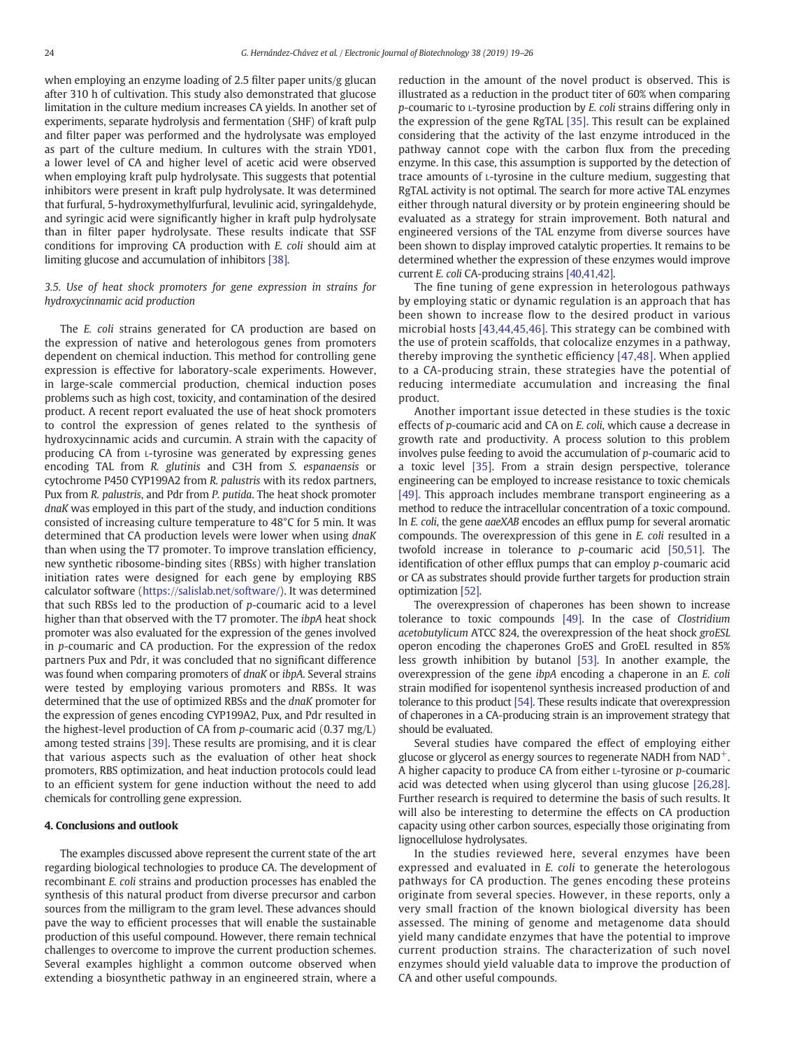when employing an enzyme loading of 2.5 filter paper units/g glucan after 310 h of cultivation. This study also demonstrated that glucose limitation in the culture medium increases CA yields. In another set of experiments, separate hydrolysis and fermentation (SHF) of kraft pulp and filter paper was performed and the hydrolysate was employed as part of the culture medium. In cultures with the strain YD01, a lower level of CA and higher level of acetic acid were observed when employing kraft pulp hydrolysate. This suggests that potential inhibitors were present in kraft pulp hydrolysate. It was determined that furfural, 5-hydroxymethylfurfural, levulinic acid, syringaldehyde, and syringic acid were significantly higher in kraft pulp hydrolysate than in filter paper hydrolysate. These results indicate that SSF conditions for improving CA production with E. coli should aim at limiting glucose and accumulation of inhibitors [\[38\]](#page-6-0).

#### 3.5. Use of heat shock promoters for gene expression in strains for hydroxycinnamic acid production

The E. coli strains generated for CA production are based on the expression of native and heterologous genes from promoters dependent on chemical induction. This method for controlling gene expression is effective for laboratory-scale experiments. However, in large-scale commercial production, chemical induction poses problems such as high cost, toxicity, and contamination of the desired product. A recent report evaluated the use of heat shock promoters to control the expression of genes related to the synthesis of hydroxycinnamic acids and curcumin. A strain with the capacity of producing CA from L-tyrosine was generated by expressing genes encoding TAL from R. glutinis and C3H from S. espanaensis or cytochrome P450 CYP199A2 from R. palustris with its redox partners, Pux from R. palustris, and Pdr from P. putida. The heat shock promoter dnaK was employed in this part of the study, and induction conditions consisted of increasing culture temperature to 48°C for 5 min. It was determined that CA production levels were lower when using dnaK than when using the T7 promoter. To improve translation efficiency, new synthetic ribosome-binding sites (RBSs) with higher translation initiation rates were designed for each gene by employing RBS calculator software [\(https://salislab.net/software/](https://salislab.net/software)). It was determined that such RBSs led to the production of p-coumaric acid to a level higher than that observed with the T7 promoter. The ibpA heat shock promoter was also evaluated for the expression of the genes involved in p-coumaric and CA production. For the expression of the redox partners Pux and Pdr, it was concluded that no significant difference was found when comparing promoters of dnaK or ibpA. Several strains were tested by employing various promoters and RBSs. It was determined that the use of optimized RBSs and the dnaK promoter for the expression of genes encoding CYP199A2, Pux, and Pdr resulted in the highest-level production of CA from p-coumaric acid (0.37 mg/L) among tested strains [\[39\]](#page-6-0). These results are promising, and it is clear that various aspects such as the evaluation of other heat shock promoters, RBS optimization, and heat induction protocols could lead to an efficient system for gene induction without the need to add chemicals for controlling gene expression.

#### 4. Conclusions and outlook

The examples discussed above represent the current state of the art regarding biological technologies to produce CA. The development of recombinant E. coli strains and production processes has enabled the synthesis of this natural product from diverse precursor and carbon sources from the milligram to the gram level. These advances should pave the way to efficient processes that will enable the sustainable production of this useful compound. However, there remain technical challenges to overcome to improve the current production schemes. Several examples highlight a common outcome observed when extending a biosynthetic pathway in an engineered strain, where a

reduction in the amount of the novel product is observed. This is illustrated as a reduction in the product titer of 60% when comparing p-coumaric to L-tyrosine production by E. coli strains differing only in the expression of the gene RgTAL [\[35\].](#page-6-0) This result can be explained considering that the activity of the last enzyme introduced in the pathway cannot cope with the carbon flux from the preceding enzyme. In this case, this assumption is supported by the detection of trace amounts of L-tyrosine in the culture medium, suggesting that RgTAL activity is not optimal. The search for more active TAL enzymes either through natural diversity or by protein engineering should be evaluated as a strategy for strain improvement. Both natural and engineered versions of the TAL enzyme from diverse sources have been shown to display improved catalytic properties. It remains to be determined whether the expression of these enzymes would improve current E. coli CA-producing strains [\[40,41,42\]](#page-6-0).

The fine tuning of gene expression in heterologous pathways by employing static or dynamic regulation is an approach that has been shown to increase flow to the desired product in various microbial hosts [\[43,44,45,46\].](#page-6-0) This strategy can be combined with the use of protein scaffolds, that colocalize enzymes in a pathway, thereby improving the synthetic efficiency [\[47,48\].](#page-6-0) When applied to a CA-producing strain, these strategies have the potential of reducing intermediate accumulation and increasing the final product.

Another important issue detected in these studies is the toxic effects of p-coumaric acid and CA on E. coli, which cause a decrease in growth rate and productivity. A process solution to this problem involves pulse feeding to avoid the accumulation of  $p$ -coumaric acid to a toxic level [\[35\]](#page-6-0). From a strain design perspective, tolerance engineering can be employed to increase resistance to toxic chemicals [\[49\].](#page-6-0) This approach includes membrane transport engineering as a method to reduce the intracellular concentration of a toxic compound. In E. coli, the gene aaeXAB encodes an efflux pump for several aromatic compounds. The overexpression of this gene in E. coli resulted in a twofold increase in tolerance to p-coumaric acid [\[50,51\].](#page-6-0) The identification of other efflux pumps that can employ p-coumaric acid or CA as substrates should provide further targets for production strain optimization [\[52\].](#page-7-0)

The overexpression of chaperones has been shown to increase tolerance to toxic compounds [\[49\]](#page-6-0). In the case of Clostridium acetobutylicum ATCC 824, the overexpression of the heat shock groESL operon encoding the chaperones GroES and GroEL resulted in 85% less growth inhibition by butanol [\[53\].](#page-7-0) In another example, the overexpression of the gene ibpA encoding a chaperone in an E. coli strain modified for isopentenol synthesis increased production of and tolerance to this product [\[54\]](#page-7-0). These results indicate that overexpression of chaperones in a CA-producing strain is an improvement strategy that should be evaluated.

Several studies have compared the effect of employing either glucose or glycerol as energy sources to regenerate NADH from  $NAD^+$ . A higher capacity to produce CA from either L-tyrosine or p-coumaric acid was detected when using glycerol than using glucose [\[26,28\].](#page-6-0) Further research is required to determine the basis of such results. It will also be interesting to determine the effects on CA production capacity using other carbon sources, especially those originating from lignocellulose hydrolysates.

In the studies reviewed here, several enzymes have been expressed and evaluated in E. coli to generate the heterologous pathways for CA production. The genes encoding these proteins originate from several species. However, in these reports, only a very small fraction of the known biological diversity has been assessed. The mining of genome and metagenome data should yield many candidate enzymes that have the potential to improve current production strains. The characterization of such novel enzymes should yield valuable data to improve the production of CA and other useful compounds.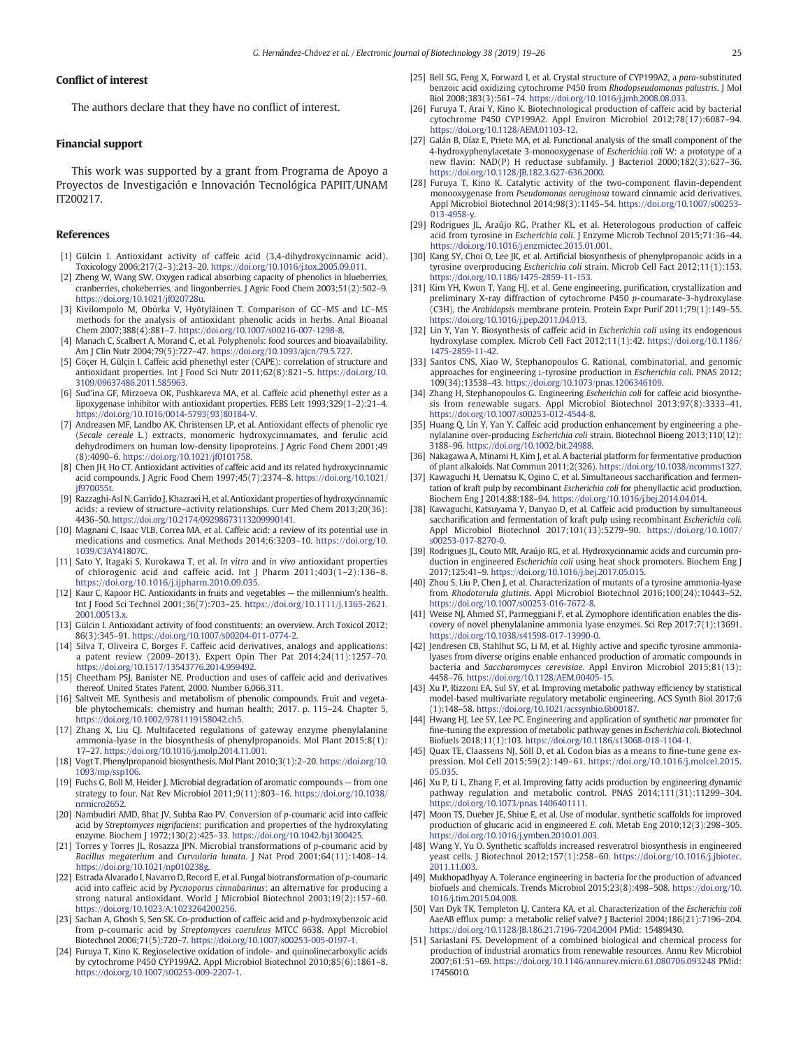#### <span id="page-6-0"></span>Conflict of interest

The authors declare that they have no conflict of interest.

#### Financial support

This work was supported by a grant from Programa de Apoyo a Proyectos de Investigación e Innovación Tecnológica PAPIIT/UNAM IT200217.

#### References

- [1] Gülcin I. Antioxidant activity of caffeic acid (3.4-dihydroxycinnamic acid). Toxicology 2006;217(2–3):213–20. <https://doi.org/10.1016/j.tox.2005.09.011>.
- [2] Zheng W, Wang SW. Oxygen radical absorbing capacity of phenolics in blueberries, cranberries, chokeberries, and lingonberries. J Agric Food Chem 2003;51(2):502–9. [https://doi.org/10.1021/jf020728u.](https://doi.org/10.1021/jf020728u)
- [3] Kivilompolo M, Obůrka V, Hyötyläinen T. Comparison of GC–MS and LC–MS methods for the analysis of antioxidant phenolic acids in herbs. Anal Bioanal Chem 2007;388(4):881–7. <https://doi.org/10.1007/s00216-007-1298-8>.
- [4] Manach C, Scalbert A, Morand C, et al. Polyphenols: food sources and bioavailability. Am J Clin Nutr 2004;79(5):727–47. <https://doi.org/10.1093/ajcn/79.5.727>.
- [5] Göçer H, Gülçin I. Caffeic acid phenethyl ester (CAPE): correlation of structure and antioxidant properties. Int J Food Sci Nutr 2011;62(8):821–5. [https://doi.org/10.](https://doi.org/10.3109/09637486.2011.585963) [3109/09637486.2011.585963](https://doi.org/10.3109/09637486.2011.585963).
- [6] Sud'ina GF, Mirzoeva OK, Pushkareva MA, et al. Caffeic acid phenethyl ester as a lipoxygenase inhibitor with antioxidant properties. FEBS Lett 1993;329(1–2):21–4. [https://doi.org/10.1016/0014-5793\(93\)80184-V](https://doi.org/10.1016/0014-5793(93)80184-V).
- [7] Andreasen MF, Landbo AK, Christensen LP, et al. Antioxidant effects of phenolic rye (Secale cereale L.) extracts, monomeric hydroxycinnamates, and ferulic acid dehydrodimers on human low-density lipoproteins. J Agric Food Chem 2001;49 (8):4090–6. <https://doi.org/10.1021/jf0101758>.
- [8] Chen JH, Ho CT. Antioxidant activities of caffeic acid and its related hydroxycinnamic acid compounds. J Agric Food Chem 1997;45(7):2374–8. [https://doi.org/10.1021/](https://doi.org/10.1021/jf970055t) [jf970055t](https://doi.org/10.1021/jf970055t).
- [9] Razzaghi-Asl N, Garrido J, Khazraei H, et al. Antioxidant properties of hydroxycinnamic acids: a review of structure–activity relationships. Curr Med Chem 2013;20(36): 4436–50. <https://doi.org/10.2174/09298673113209990141>.
- [10] Magnani C, Isaac VLB, Correa MA, et al. Caffeic acid: a review of its potential use in medications and cosmetics. Anal Methods 2014;6:3203–10. [https://doi.org/10.](https://doi.org/10.1039/C3AY41807C) [1039/C3AY41807C](https://doi.org/10.1039/C3AY41807C).
- [11] Sato Y, Itagaki S, Kurokawa T, et al. In vitro and in vivo antioxidant properties of chlorogenic acid and caffeic acid. Int J Pharm 2011;403(1–2):136–8. <https://doi.org/10.1016/j.ijpharm.2010.09.035>.
- [12] Kaur C, Kapoor HC. Antioxidants in fruits and vegetables the millennium's health. Int J Food Sci Technol 2001;36(7):703–25. [https://doi.org/10.1111/j.1365-2621.](https://doi.org/10.1111/j.1365-2621.2001.00513.x) [2001.00513.x](https://doi.org/10.1111/j.1365-2621.2001.00513.x).
- [13] Gülcin I. Antioxidant activity of food constituents: an overview. Arch Toxicol 2012; 86(3):345–91. <https://doi.org/10.1007/s00204-011-0774-2>.
- [14] Silva T, Oliveira C, Borges F. Caffeic acid derivatives, analogs and applications: a patent review (2009–2013). Expert Opin Ther Pat 2014;24(11):1257–70. <https://doi.org/10.1517/13543776.2014.959492>.
- [15] Cheetham PSJ, Banister NE. Production and uses of caffeic acid and derivatives thereof. United States Patent, 2000. Number 6,066,311.
- [16] Saltveit ME. Synthesis and metabolism of phenolic compounds. Fruit and vegetable phytochemicals: chemistry and human health; 2017. p. 115–24. Chapter 5, [https://doi.org/10.1002/9781119158042.ch5.](https://doi.org/10.1002/9781119158042.ch5)
- [17] Zhang X, Liu CJ. Multifaceted regulations of gateway enzyme phenylalanine ammonia-lyase in the biosynthesis of phenylpropanoids. Mol Plant 2015;8(1): 17–27. [https://doi.org/10.1016/j.molp.2014.11.001.](https://doi.org/10.1016/j.molp.2014.11.001)
- [18] Vogt T. Phenylpropanoid biosynthesis. Mol Plant 2010;3(1):2–20. [https://doi.org/10.](https://doi.org/10.1093/mp/ssp106) [1093/mp/ssp106.](https://doi.org/10.1093/mp/ssp106)
- [19] Fuchs G, Boll M, Heider J. Microbial degradation of aromatic compounds from one strategy to four. Nat Rev Microbiol 2011;9(11):803–16. [https://doi.org/10.1038/](https://doi.org/10.1038/nrmicro2652) [nrmicro2652.](https://doi.org/10.1038/nrmicro2652)
- [20] Nambudiri AMD, Bhat JV, Subba Rao PV. Conversion of p-coumaric acid into caffeic acid by Streptomyces nigrifaciens: purification and properties of the hydroxylating enzyme. Biochem J 1972;130(2):425–33. [https://doi.org/10.1042/bj1300425.](https://doi.org/10.1042/bj1300425)
- [21] Torres y Torres JL, Rosazza JPN. Microbial transformations of p-coumaric acid by Bacillus megaterium and Curvularia lunata. J Nat Prod 2001;64(11):1408–14. [https://doi.org/10.1021/np010238g.](https://doi.org/10.1021/np010238g)
- [22] Estrada Alvarado I, Navarro D, Record E, et al. Fungal biotransformation of p-coumaric acid into caffeic acid by Pycnoporus cinnabarinus: an alternative for producing a strong natural antioxidant. World J Microbiol Biotechnol 2003;19(2):157–60. <https://doi.org/10.1023/A:1023264200256>.
- [23] Sachan A, Ghosh S, Sen SK. Co-production of caffeic acid and p-hydroxybenzoic acid from p-coumaric acid by Streptomyces caeruleus MTCC 6638. Appl Microbiol Biotechnol 2006;71(5):720–7. [https://doi.org/10.1007/s00253-005-0197-1.](https://doi.org/10.1007/s00253-005-0197-1)
- [24] Furuya T, Kino K. Regioselective oxidation of indole- and quinolinecarboxylic acids by cytochrome P450 CYP199A2. Appl Microbiol Biotechnol 2010;85(6):1861–8. [https://doi.org/10.1007/s00253-009-2207-1.](https://doi.org/10.1007/s00253-009-2207-1)
- [25] Bell SG, Feng X, Forward I, et al. Crystal structure of CYP199A2, a para-substituted benzoic acid oxidizing cytochrome P450 from Rhodopseudomonas palustris. J Mol Biol 2008;383(3):561–74. [https://doi.org/10.1016/j.jmb.2008.08.033.](https://doi.org/10.1016/j.jmb.2008.08.033)
- [26] Furuya T, Arai Y, Kino K. Biotechnological production of caffeic acid by bacterial cytochrome P450 CYP199A2. Appl Environ Microbiol 2012;78(17):6087–94. [https://doi.org/10.1128/AEM.01103-12.](https://doi.org/10.1128/AEM.01103-12)
- [27] Galán B, Díaz E, Prieto MA, et al. Functional analysis of the small component of the 4-hydroxyphenylacetate 3-monooxygenase of Escherichia coli W: a prototype of a new flavin: NAD(P) H reductase subfamily. J Bacteriol 2000;182(3):627–36. <https://doi.org/10.1128/JB.182.3.627-636.2000>.
- [28] Furuya T, Kino K. Catalytic activity of the two-component flavin-dependent monooxygenase from Pseudomonas aeruginosa toward cinnamic acid derivatives. Appl Microbiol Biotechnol 2014;98(3):1145–54. [https://doi.org/10.1007/s00253-](https://doi.org/10.1007/s00253-013-4958-y) [013-4958-y.](https://doi.org/10.1007/s00253-013-4958-y)
- [29] Rodrigues JL, Araújo RG, Prather KL, et al. Heterologous production of caffeic acid from tyrosine in Escherichia coli. J Enzyme Microb Technol 2015;71:36–44. [https://doi.org/10.1016/j.enzmictec.2015.01.001.](https://doi.org/10.1016/j.enzmictec.2015.01.001)
- [30] Kang SY, Choi O, Lee JK, et al. Artificial biosynthesis of phenylpropanoic acids in a tyrosine overproducing Escherichia coli strain. Microb Cell Fact 2012;11(1):153. [https://doi.org/10.1186/1475-2859-11-153.](https://doi.org/10.1186/1475-2859-11-153)
- [31] Kim YH, Kwon T, Yang HJ, et al. Gene engineering, purification, crystallization and preliminary X-ray diffraction of cytochrome P450 p-coumarate-3-hydroxylase (C3H), the Arabidopsis membrane protein. Protein Expr Purif 2011;79(1):149–55. <https://doi.org/10.1016/j.pep.2011.04.013>.
- [32] Lin Y, Yan Y. Biosynthesis of caffeic acid in Escherichia coli using its endogenous hydroxylase complex. Microb Cell Fact 2012;11(1):42. [https://doi.org/10.1186/](https://doi.org/10.1186/1475-2859-11-42) [1475-2859-11-42.](https://doi.org/10.1186/1475-2859-11-42)
- [33] Santos CNS, Xiao W, Stephanopoulos G. Rational, combinatorial, and genomic approaches for engineering L-tyrosine production in Escherichia coli. PNAS 2012; 109(34):13538–43. [https://doi.org/10.1073/pnas.1206346109.](https://doi.org/10.1073/pnas.1206346109)
- [34] Zhang H, Stephanopoulos G. Engineering Escherichia coli for caffeic acid biosynthesis from renewable sugars. Appl Microbiol Biotechnol 2013;97(8):3333–41. <https://doi.org/10.1007/s00253-012-4544-8>.
- [35] Huang Q, Lin Y, Yan Y. Caffeic acid production enhancement by engineering a phenylalanine over-producing Escherichia coli strain. Biotechnol Bioeng 2013;110(12): 3188–96. [https://doi.org/10.1002/bit.24988.](https://doi.org/10.1002/bit.24988)
- [36] Nakagawa A, Minami H, Kim J, et al. A bacterial platform for fermentative production of plant alkaloids. Nat Commun 2011;2(326). <https://doi.org/10.1038/ncomms1327>.
- [37] Kawaguchi H, Uematsu K, Ogino C, et al. Simultaneous saccharification and fermentation of kraft pulp by recombinant Escherichia coli for phenyllactic acid production. Biochem Eng J 2014;88:188–94. [https://doi.org/10.1016/j.bej.2014.04.014.](https://doi.org/10.1016/j.bej.2014.04.014)
- [38] Kawaguchi, Katsuyama Y, Danyao D, et al. Caffeic acid production by simultaneous saccharification and fermentation of kraft pulp using recombinant Escherichia coli. Appl Microbiol Biotechnol 2017;101(13):5279–90. [https://doi.org/10.1007/](https://doi.org/10.1007/s00253-017-8270-0) [s00253-017-8270-0.](https://doi.org/10.1007/s00253-017-8270-0)
- [39] Rodrigues JL, Couto MR, Araújo RG, et al. Hydroxycinnamic acids and curcumin production in engineered Escherichia coli using heat shock promoters. Biochem Eng J 2017;125:41–9. [https://doi.org/10.1016/j.bej.2017.05.015.](https://doi.org/10.1016/j.bej.2017.05.015)
- [40] Zhou S, Liu P, Chen J, et al. Characterization of mutants of a tyrosine ammonia-lyase from Rhodotorula glutinis. Appl Microbiol Biotechnol 2016;100(24):10443–52. <https://doi.org/10.1007/s00253-016-7672-8>.
- [41] Weise NJ, Ahmed ST, Parmeggiani F, et al. Zymophore identification enables the discovery of novel phenylalanine ammonia lyase enzymes. Sci Rep 2017;7(1):13691. [https://doi.org/10.1038/s41598-017-13990-0.](https://doi.org/10.1038/s41598-017-13990-0)
- [42] Jendresen CB, Stahlhut SG, Li M, et al. Highly active and specific tyrosine ammonialyases from diverse origins enable enhanced production of aromatic compounds in bacteria and Saccharomyces cerevisiae. Appl Environ Microbiol 2015;81(13): 4458–76. <https://doi.org/10.1128/AEM.00405-15>.
- [43] Xu P, Rizzoni EA, Sul SY, et al. Improving metabolic pathway efficiency by statistical model-based multivariate regulatory metabolic engineering. ACS Synth Biol 2017;6 (1):148–58. <https://doi.org/10.1021/acssynbio.6b00187>.
- [44] Hwang HJ, Lee SY, Lee PC. Engineering and application of synthetic nar promoter for fine-tuning the expression of metabolic pathway genes in Escherichia coli. Biotechnol Biofuels 2018;11(1):103. <https://doi.org/10.1186/s13068-018-1104-1>.
- [45] Quax TE, Claassens NJ, Söll D, et al. Codon bias as a means to fine-tune gene expression. Mol Cell 2015;59(2):149–61. [https://doi.org/10.1016/j.molcel.2015.](https://doi.org/10.1016/j.molcel.2015.05.035) [05.035](https://doi.org/10.1016/j.molcel.2015.05.035).
- [46] Xu P, Li L, Zhang F, et al. Improving fatty acids production by engineering dynamic pathway regulation and metabolic control. PNAS 2014;111(31):11299–304. <https://doi.org/10.1073/pnas.1406401111>.
- [47] Moon TS, Dueber JE, Shiue E, et al. Use of modular, synthetic scaffolds for improved production of glucaric acid in engineered E. coli. Metab Eng 2010;12(3):298–305. [https://doi.org/10.1016/j.ymben.2010.01.003.](https://doi.org/10.1016/j.ymben.2010.01.003)
- [48] Wang Y, Yu O. Synthetic scaffolds increased resveratrol biosynthesis in engineered yeast cells. J Biotechnol 2012;157(1):258–60. [https://doi.org/10.1016/j.jbiotec.](https://doi.org/10.1016/j.jbiotec.2011.11.003) [2011.11.003.](https://doi.org/10.1016/j.jbiotec.2011.11.003)
- [49] Mukhopadhyay A. Tolerance engineering in bacteria for the production of advanced biofuels and chemicals. Trends Microbiol 2015;23(8):498–508. [https://doi.org/10.](https://doi.org/10.1016/j.tim.2015.04.008) [1016/j.tim.2015.04.008.](https://doi.org/10.1016/j.tim.2015.04.008)
- [50] Van Dyk TK, Templeton LJ, Cantera KA, et al. Characterization of the Escherichia coli AaeAB efflux pump: a metabolic relief valve? J Bacteriol 2004;186(21):7196–204. <https://doi.org/10.1128/JB.186.21.7196-7204.2004> PMid: 15489430.
- [51] Sariaslani FS. Development of a combined biological and chemical process for production of industrial aromatics from renewable resources. Annu Rev Microbiol 2007;61:51–69. <https://doi.org/10.1146/annurev.micro.61.080706.093248> PMid: 17456010.